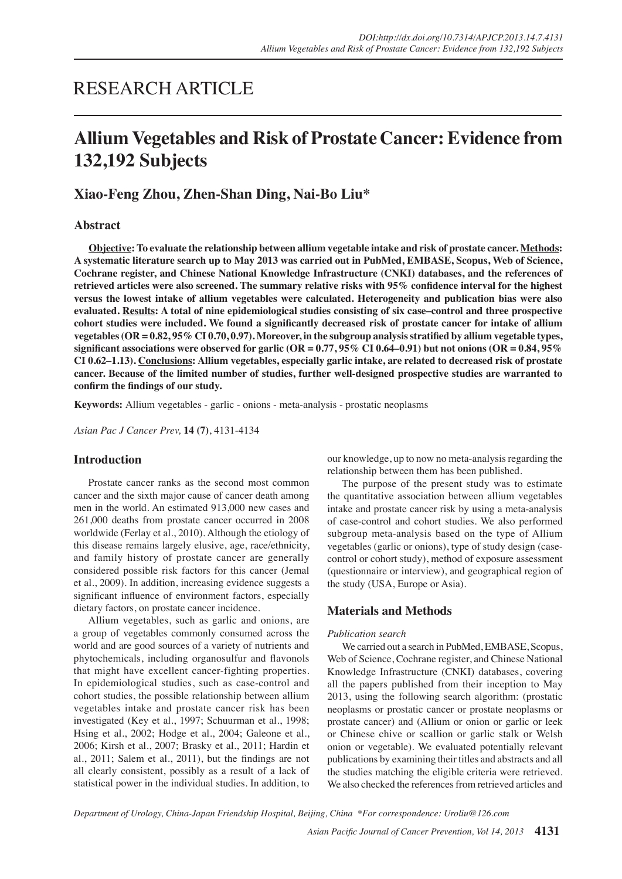# RESEARCH ARTICLE

# **Allium Vegetables and Risk of Prostate Cancer: Evidence from 132,192 Subjects**

# **Xiao-Feng Zhou, Zhen-Shan Ding, Nai-Bo Liu\***

# **Abstract**

**Objective: To evaluate the relationship between allium vegetable intake and risk of prostate cancer. Methods: A systematic literature search up to May 2013 was carried out in PubMed, EMBASE, Scopus, Web of Science, Cochrane register, and Chinese National Knowledge Infrastructure (CNKI) databases, and the references of retrieved articles were also screened. The summary relative risks with 95% confidence interval for the highest versus the lowest intake of allium vegetables were calculated. Heterogeneity and publication bias were also evaluated. Results: A total of nine epidemiological studies consisting of six case–control and three prospective cohort studies were included. We found a significantly decreased risk of prostate cancer for intake of allium vegetables (OR = 0.82, 95% CI 0.70, 0.97). Moreover, in the subgroup analysis stratified by allium vegetable types, significant associations were observed for garlic (OR = 0.77, 95% CI 0.64–0.91) but not onions (OR = 0.84, 95% CI 0.62–1.13). Conclusions: Allium vegetables, especially garlic intake, are related to decreased risk of prostate cancer. Because of the limited number of studies, further well-designed prospective studies are warranted to confirm the findings of our study.**

**Keywords:** Allium vegetables - garlic - onions - meta-analysis - prostatic neoplasms

*Asian Pac J Cancer Prev,* **14 (7)**, 4131-4134

## **Introduction**

Prostate cancer ranks as the second most common cancer and the sixth major cause of cancer death among men in the world. An estimated 913,000 new cases and 261,000 deaths from prostate cancer occurred in 2008 worldwide (Ferlay et al., 2010). Although the etiology of this disease remains largely elusive, age, race/ethnicity, and family history of prostate cancer are generally considered possible risk factors for this cancer (Jemal et al., 2009). In addition, increasing evidence suggests a significant influence of environment factors, especially dietary factors, on prostate cancer incidence.

Allium vegetables, such as garlic and onions, are a group of vegetables commonly consumed across the world and are good sources of a variety of nutrients and phytochemicals, including organosulfur and flavonols that might have excellent cancer-fighting properties. In epidemiological studies, such as case-control and cohort studies, the possible relationship between allium vegetables intake and prostate cancer risk has been investigated (Key et al., 1997; Schuurman et al., 1998; Hsing et al., 2002; Hodge et al., 2004; Galeone et al., 2006; Kirsh et al., 2007; Brasky et al., 2011; Hardin et al., 2011; Salem et al., 2011), but the findings are not all clearly consistent, possibly as a result of a lack of statistical power in the individual studies. In addition, to our knowledge, up to now no meta-analysis regarding the relationship between them has been published.

The purpose of the present study was to estimate the quantitative association between allium vegetables intake and prostate cancer risk by using a meta-analysis of case-control and cohort studies. We also performed subgroup meta-analysis based on the type of Allium vegetables (garlic or onions), type of study design (casecontrol or cohort study), method of exposure assessment (questionnaire or interview), and geographical region of the study (USA, Europe or Asia).

# **Materials and Methods**

## *Publication search*

We carried out a search in PubMed, EMBASE, Scopus, Web of Science, Cochrane register, and Chinese National Knowledge Infrastructure (CNKI) databases, covering all the papers published from their inception to May 2013, using the following search algorithm: (prostatic neoplasms or prostatic cancer or prostate neoplasms or prostate cancer) and (Allium or onion or garlic or leek or Chinese chive or scallion or garlic stalk or Welsh onion or vegetable). We evaluated potentially relevant publications by examining their titles and abstracts and all the studies matching the eligible criteria were retrieved. We also checked the references from retrieved articles and

*Department of Urology, China-Japan Friendship Hospital, Beijing, China \*For correspondence: Uroliu@126.com*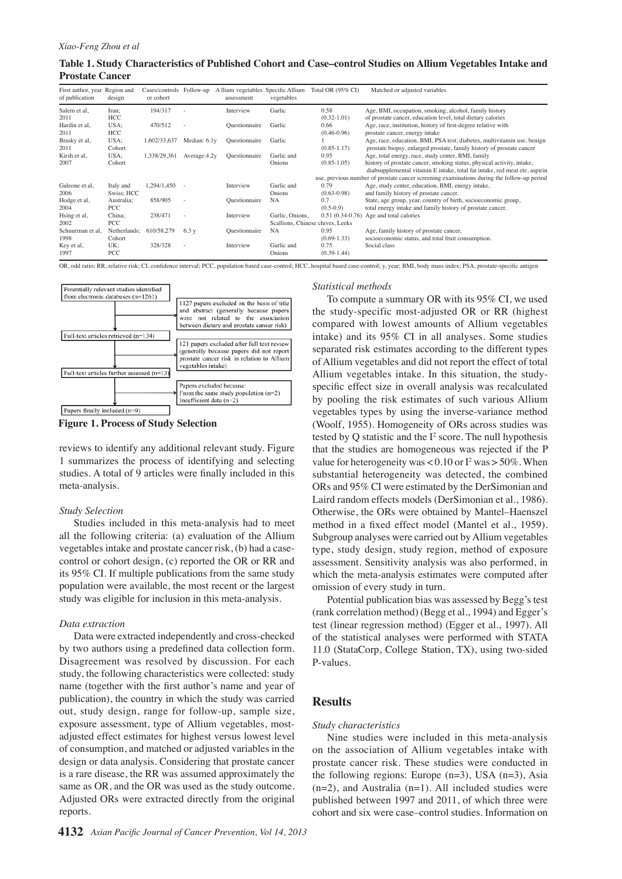| Table 1. Study Characteristics of Published Cohort and Case–control Studies on Allium Vegetables Intake and |  |
|-------------------------------------------------------------------------------------------------------------|--|
| <b>Prostate Cancer</b>                                                                                      |  |

| First author, year Region and<br>of publication | design       | or cohort    |                                                                        | Cases/controls Follow-up A llium vegetables Specific Allium<br>assessment | vegetables                       | Total OR (95% CI)                                                                          | Matched or adjusted variables                                              |  |  |
|-------------------------------------------------|--------------|--------------|------------------------------------------------------------------------|---------------------------------------------------------------------------|----------------------------------|--------------------------------------------------------------------------------------------|----------------------------------------------------------------------------|--|--|
| Salem et al,                                    | Iran;        | 194/317      |                                                                        | Interview                                                                 | Garlic                           | 0.58                                                                                       | Age, BMI, occupation, smoking, alcohol, family history                     |  |  |
| 2011                                            | <b>HCC</b>   |              |                                                                        |                                                                           |                                  | $(0.32 - 1.01)$                                                                            | of prostate cancer, education level, total dietary calories                |  |  |
| Hardin et al,                                   | USA;         | 470/512      |                                                                        | Questionnaire                                                             | Garlic                           | 0.66                                                                                       | Age, race, institution, history of first-degree relative with              |  |  |
| 2011                                            | HCC          |              |                                                                        |                                                                           |                                  | $(0.46 - 0.96)$                                                                            | prostate cancer, energy intake                                             |  |  |
| Brasky et al.                                   | USA;         | 1.602/33.637 | Median: 6.1y                                                           | Questionnaire                                                             | Garlic                           |                                                                                            | Age, race, education, BMI, PSA test, diabetes, multivitamin use, benign    |  |  |
| 2011                                            | Cohort       |              |                                                                        |                                                                           |                                  | $(0.85 - 1.17)$                                                                            | prostate biopsy, enlarged prostate, family history of prostate cancer      |  |  |
| Kirsh et al.                                    | USA;         | 1,338/29,361 | Average: 4.2y                                                          | Questionnaire                                                             | Garlic and                       | 0.95                                                                                       | Age, total energy, race, study center, BMI, family                         |  |  |
| 2007<br>Cohort<br>$(0.85 - 1.05)$<br>Onions     |              |              | history of prostate cancer, smoking status, physical activity, intake, |                                                                           |                                  |                                                                                            |                                                                            |  |  |
|                                                 |              |              |                                                                        |                                                                           |                                  |                                                                                            | diabsupplemental vitamin E intake, total fat intake, red meat ete, aspirin |  |  |
|                                                 |              |              |                                                                        |                                                                           |                                  | use, previous number of prostate cancer screening examinations during the follow-up period |                                                                            |  |  |
| Galeone et al,                                  | Italy and    | 1,294/1,450  |                                                                        | Interview                                                                 | Garlic and                       | 0.79                                                                                       | Age, study center, education, BMI, energy intake,                          |  |  |
| 2006                                            | Swiss; HCC   |              |                                                                        |                                                                           | Onions                           | $(0.63 - 0.98)$                                                                            | and family history of prostate cancer.                                     |  |  |
| Hodge et al,                                    | Australia;   | 858/905      |                                                                        | Questionnaire                                                             | <b>NA</b>                        | 0.7                                                                                        | State, age group, year, country of birth, socioeconomic group,             |  |  |
| 2004                                            | PCC          |              |                                                                        |                                                                           |                                  | $(0.5-0.9)$                                                                                | total energy intake and family history of prostate cancer.                 |  |  |
| Hsing et al,                                    | China;       | 238/471      |                                                                        | Interview                                                                 | Garlic, Onions.                  | $0.51(0.34-0.76)$                                                                          | Age and total calories                                                     |  |  |
| 2002                                            | PCC          |              |                                                                        |                                                                           | Scallions, Chinese chives, Leeks |                                                                                            |                                                                            |  |  |
| Schuurman et al.                                | Netherlands: | 610/58,279   | 6.3v                                                                   | Questionnaire                                                             | <b>NA</b>                        | 0.95                                                                                       | Age, family history of prostate cancer,                                    |  |  |
| 1998                                            | Cohort       |              |                                                                        |                                                                           |                                  | $(0.69 - 1.33)$                                                                            | socioeconomic status, and total fruit consumption.                         |  |  |
| Key et al,                                      | UK:          | 328/328      |                                                                        | Interview                                                                 | Garlic and                       | 0.75                                                                                       | Social class                                                               |  |  |
| 1997                                            | PCC          |              |                                                                        |                                                                           | Onions                           | $(0.39-1.44)$                                                                              |                                                                            |  |  |

OR, odd ratio; RR, relative risk; CI, confidence interval; PCC, population based case-control; HCC, hospital based case-control; y, year; BMI, body mass index; PSA, prostate-specific antigen



**Figure 1. Process of Study Selection**

reviews to identify any additional relevant study. Figure 1 summarizes the process of identifying and selecting studies. A total of 9 articles were finally included in this meta-analysis.

#### *Study Selection*

Studies included in this meta-analysis had to meet all the following criteria: (a) evaluation of the Allium vegetables intake and prostate cancer risk, (b) had a casecontrol or cohort design, (c) reported the OR or RR and its 95% CI. If multiple publications from the same study population were available, the most recent or the largest study was eligible for inclusion in this meta-analysis.

#### *Data extraction*

Data were extracted independently and cross-checked by two authors using a predefined data collection form. Disagreement was resolved by discussion. For each study, the following characteristics were collected: study name (together with the first author's name and year of publication), the country in which the study was carried out, study design, range for follow-up, sample size, exposure assessment, type of Allium vegetables, mostadjusted effect estimates for highest versus lowest level of consumption, and matched or adjusted variables in the design or data analysis. Considering that prostate cancer is a rare disease, the RR was assumed approximately the same as OR, and the OR was used as the study outcome. Adjusted ORs were extracted directly from the original reports.

#### *Statistical methods*

To compute a summary OR with its 95% CI, we used the study-specific most-adjusted OR or RR (highest compared with lowest amounts of Allium vegetables intake) and its 95% CI in all analyses. Some studies separated risk estimates according to the different types of Allium vegetables and did not report the effect of total Allium vegetables intake. In this situation, the studyspecific effect size in overall analysis was recalculated by pooling the risk estimates of such various Allium vegetables types by using the inverse-variance method (Woolf, 1955). Homogeneity of ORs across studies was tested by  $Q$  statistic and the  $I^2$  score. The null hypothesis that the studies are homogeneous was rejected if the P value for heterogeneity was <  $0.10$  or  $I^2$  was >  $50\%$ . When substantial heterogeneity was detected, the combined ORs and 95% CI were estimated by the DerSimonian and Laird random effects models (DerSimonian et al., 1986). Otherwise, the ORs were obtained by Mantel–Haenszel method in a fixed effect model (Mantel et al., 1959). Subgroup analyses were carried out by Allium vegetables type, study design, study region, method of exposure assessment. Sensitivity analysis was also performed, in which the meta-analysis estimates were computed after omission of every study in turn.

Potential publication bias was assessed by Begg's test (rank correlation method) (Begg et al., 1994) and Egger's test (linear regression method) (Egger et al., 1997). All of the statistical analyses were performed with STATA 11.0 (StataCorp, College Station, TX), using two-sided P-values.

# **Results**

#### *Study characteristics*

Nine studies were included in this meta-analysis on the association of Allium vegetables intake with prostate cancer risk. These studies were conducted in the following regions: Europe  $(n=3)$ , USA  $(n=3)$ , Asia  $(n=2)$ , and Australia  $(n=1)$ . All included studies were published between 1997 and 2011, of which three were cohort and six were case–control studies. Information on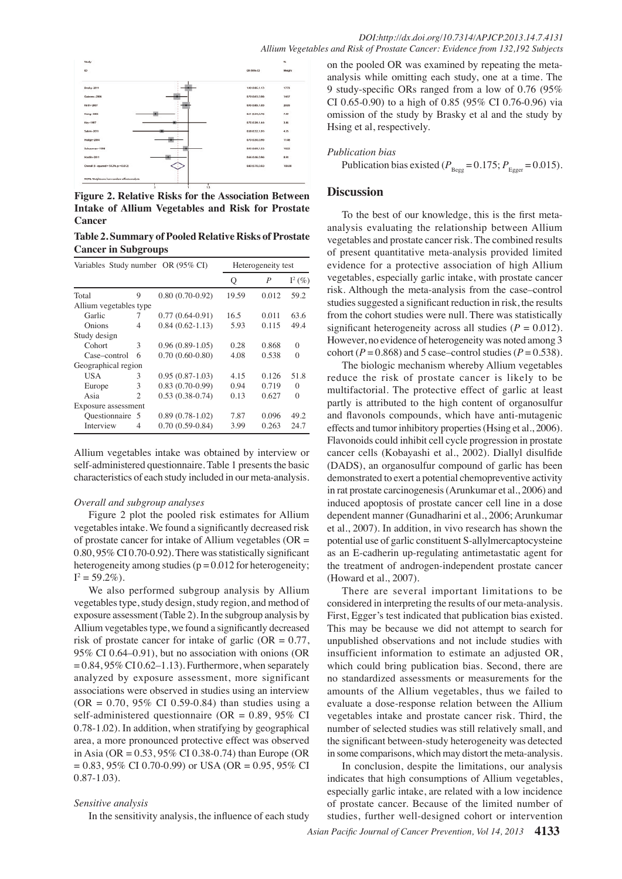**46.8 56.3**

**38.0 31.3**





**Figure 2. Relative Risks for the Association Between Intake of Allium Vegetables and Risk for Prostate Cancer**

**Table 2. Summary of Pooled Relative Risks of Prostate Cancer in Subgroups**

| Variables Study number OR (95% CI) | Heterogeneity test |                     |       |       |           |
|------------------------------------|--------------------|---------------------|-------|-------|-----------|
|                                    |                    |                     | Ő     | P     | $I^2(\%)$ |
| Total                              | 9                  | $0.80(0.70-0.92)$   | 19.59 | 0.012 | 59.2      |
| Allium vegetables type             |                    |                     |       |       |           |
| Garlic                             | 7                  | $0.77(0.64-0.91)$   | 16.5  | 0.011 | 63.6      |
| Onions                             | 4                  | $0.84(0.62 - 1.13)$ | 5.93  | 0.115 | 49.4      |
| Study design                       |                    |                     |       |       |           |
| Cohort                             | 3                  | $0.96(0.89-1.05)$   | 0.28  | 0.868 | 0         |
| Case–control                       | 6                  | $0.70(0.60-0.80)$   | 4.08  | 0.538 | $\Omega$  |
| Geographical region                |                    |                     |       |       |           |
| <b>USA</b>                         | 3                  | $0.95(0.87-1.03)$   | 4.15  | 0.126 | 51.8      |
| Europe                             | 3                  | $0.83(0.70-0.99)$   | 0.94  | 0.719 | $\Omega$  |
| Asia                               | $\mathfrak{D}$     | $0.53(0.38-0.74)$   | 0.13  | 0.627 | $\Omega$  |
| Exposure assessment                |                    |                     |       |       |           |
| Questionnaire 5                    |                    | $0.89(0.78-1.02)$   | 7.87  | 0.096 | 49.2      |
| Interview                          | 4                  | $0.70(0.59-0.84)$   | 3.99  | 0.263 | 24.7      |

Allium vegetables intake was obtained by interview or self-administered questionnaire. Table 1 presents the basic characteristics of each study included in our meta-analysis.

#### *Overall and subgroup analyses*

Figure 2 plot the pooled risk estimates for Allium vegetables intake. We found a significantly decreased risk of prostate cancer for intake of Allium vegetables ( $OR =$ 0.80, 95% CI 0.70-0.92). There was statistically significant heterogeneity among studies ( $p = 0.012$  for heterogeneity;  $I^2 = 59.2\%)$ .

We also performed subgroup analysis by Allium vegetables type, study design, study region, and method of exposure assessment (Table 2). In the subgroup analysis by Allium vegetables type, we found a significantly decreased risk of prostate cancer for intake of garlic  $(OR = 0.77)$ , 95% CI 0.64–0.91), but no association with onions (OR  $= 0.84$ ,  $95\%$  CI 0.62–1.13). Furthermore, when separately analyzed by exposure assessment, more significant associations were observed in studies using an interview  $(OR = 0.70, 95\% \text{ CI } 0.59 - 0.84)$  than studies using a self-administered questionnaire (OR =  $0.89, 95\%$  CI 0.78-1.02). In addition, when stratifying by geographical area, a more pronounced protective effect was observed in Asia (OR = 0.53, 95% CI 0.38-0.74) than Europe (OR  $= 0.83, 95\% \text{ CI } 0.70 - 0.99$  or USA (OR  $= 0.95, 95\% \text{ CI}$ 0.87-1.03).

## *Sensitive analysis*

In the sensitivity analysis, the influence of each study

on the pooled OR was examined by repeating the metaanalysis while omitting each study, one at a time. The 9 study-specific ORs ranged from a low of 0.76 (95% CI 0.65-0.90) to a high of 0.85 (95% CI 0.76-0.96) via omission of the study by Brasky et al and the study by Hsing et al, respectively.

#### *Publication bias*

Publication bias existed ( $P_{\text{Bess}} = 0.175$ ;  $P_{\text{Eoser}} = 0.015$ ).

### **Discussion**

100.0

**20.3 6.3 10.1**

0 from the cohort studies were null. There was statistically<sub>25.0</sub> vegetables, especially garlic intake, with prostate cancer<sup>50.0</sup> analysis evaluating the relationship between Allium<sub>75.0</sub> To the best of our knowledge, this is the first metavegetables and prostate cancer risk. The combined results of present quantitative meta-analysis provided limited evidence for a protective association of high Allium risk. Although the meta-analysis from the case–control studies suggested a significant reduction in risk, the results significant heterogeneity across all studies  $(P = 0.012)$ . However, no evidence of heterogeneity was noted among 3 cohort ( $P = 0.868$ ) and 5 case–control studies ( $P = 0.538$ ).

The biologic mechanism whereby Allium vegetables reduce the risk of prostate cancer is likely to be multifactorial. The protective effect of garlic at least partly is attributed to the high content of organosulfur and flavonols compounds, which have anti-mutagenic effects and tumor inhibitory properties (Hsing et al., 2006). Flavonoids could inhibit cell cycle progression in prostate cancer cells (Kobayashi et al., 2002). Diallyl disulfide (DADS), an organosulfur compound of garlic has been demonstrated to exert a potential chemopreventive activity in rat prostate carcinogenesis (Arunkumar et al., 2006) and induced apoptosis of prostate cancer cell line in a dose dependent manner (Gunadharini et al., 2006; Arunkumar et al., 2007). In addition, in vivo research has shown the potential use of garlic constituent S-allylmercaptocysteine as an E-cadherin up-regulating antimetastatic agent for the treatment of androgen-independent prostate cancer (Howard et al., 2007).

There are several important limitations to be considered in interpreting the results of our meta-analysis. First, Egger's test indicated that publication bias existed. This may be because we did not attempt to search for unpublished observations and not include studies with insufficient information to estimate an adjusted OR, which could bring publication bias. Second, there are no standardized assessments or measurements for the amounts of the Allium vegetables, thus we failed to evaluate a dose-response relation between the Allium vegetables intake and prostate cancer risk. Third, the number of selected studies was still relatively small, and the significant between-study heterogeneity was detected in some comparisons, which may distort the meta-analysis.

In conclusion, despite the limitations, our analysis indicates that high consumptions of Allium vegetables, especially garlic intake, are related with a low incidence of prostate cancer. Because of the limited number of studies, further well-designed cohort or intervention